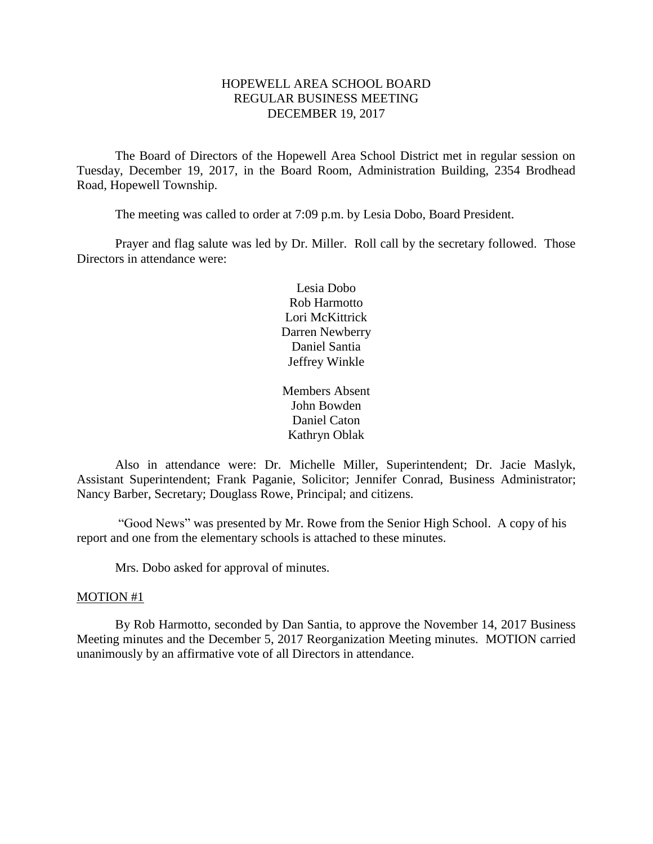# HOPEWELL AREA SCHOOL BOARD REGULAR BUSINESS MEETING DECEMBER 19, 2017

The Board of Directors of the Hopewell Area School District met in regular session on Tuesday, December 19, 2017, in the Board Room, Administration Building, 2354 Brodhead Road, Hopewell Township.

The meeting was called to order at 7:09 p.m. by Lesia Dobo, Board President.

Prayer and flag salute was led by Dr. Miller. Roll call by the secretary followed. Those Directors in attendance were:

> Lesia Dobo Rob Harmotto Lori McKittrick Darren Newberry Daniel Santia Jeffrey Winkle

Members Absent John Bowden Daniel Caton Kathryn Oblak

Also in attendance were: Dr. Michelle Miller, Superintendent; Dr. Jacie Maslyk, Assistant Superintendent; Frank Paganie, Solicitor; Jennifer Conrad, Business Administrator; Nancy Barber, Secretary; Douglass Rowe, Principal; and citizens.

"Good News" was presented by Mr. Rowe from the Senior High School. A copy of his report and one from the elementary schools is attached to these minutes.

Mrs. Dobo asked for approval of minutes.

### MOTION #1

By Rob Harmotto, seconded by Dan Santia, to approve the November 14, 2017 Business Meeting minutes and the December 5, 2017 Reorganization Meeting minutes. MOTION carried unanimously by an affirmative vote of all Directors in attendance.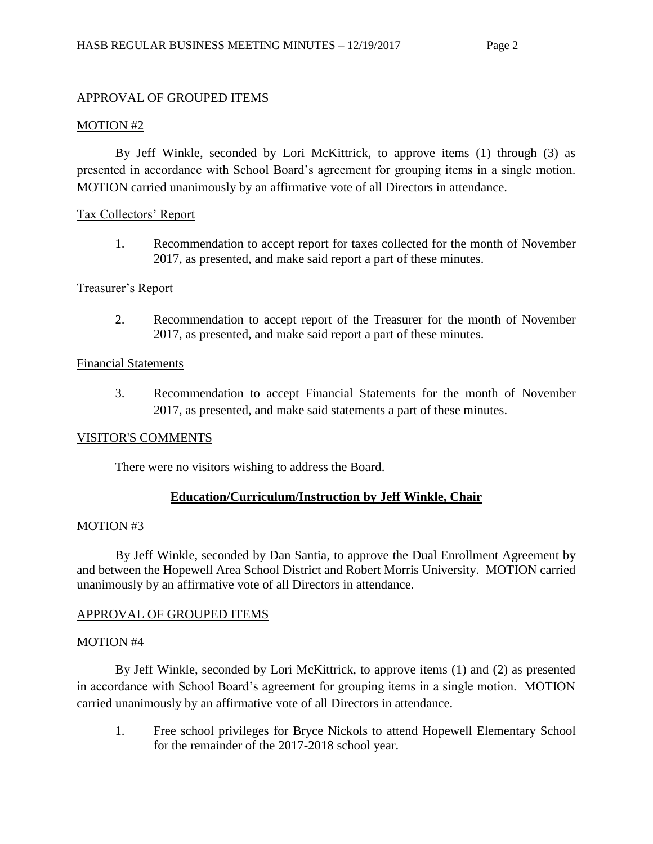## APPROVAL OF GROUPED ITEMS

#### MOTION #2

By Jeff Winkle, seconded by Lori McKittrick, to approve items (1) through (3) as presented in accordance with School Board's agreement for grouping items in a single motion. MOTION carried unanimously by an affirmative vote of all Directors in attendance.

### Tax Collectors' Report

1. Recommendation to accept report for taxes collected for the month of November 2017, as presented, and make said report a part of these minutes.

### Treasurer's Report

2. Recommendation to accept report of the Treasurer for the month of November 2017, as presented, and make said report a part of these minutes.

### Financial Statements

3. Recommendation to accept Financial Statements for the month of November 2017, as presented, and make said statements a part of these minutes.

### VISITOR'S COMMENTS

There were no visitors wishing to address the Board.

# **Education/Curriculum/Instruction by Jeff Winkle, Chair**

### MOTION #3

By Jeff Winkle, seconded by Dan Santia, to approve the Dual Enrollment Agreement by and between the Hopewell Area School District and Robert Morris University. MOTION carried unanimously by an affirmative vote of all Directors in attendance.

### APPROVAL OF GROUPED ITEMS

### MOTION #4

By Jeff Winkle, seconded by Lori McKittrick, to approve items (1) and (2) as presented in accordance with School Board's agreement for grouping items in a single motion. MOTION carried unanimously by an affirmative vote of all Directors in attendance.

1. Free school privileges for Bryce Nickols to attend Hopewell Elementary School for the remainder of the 2017-2018 school year.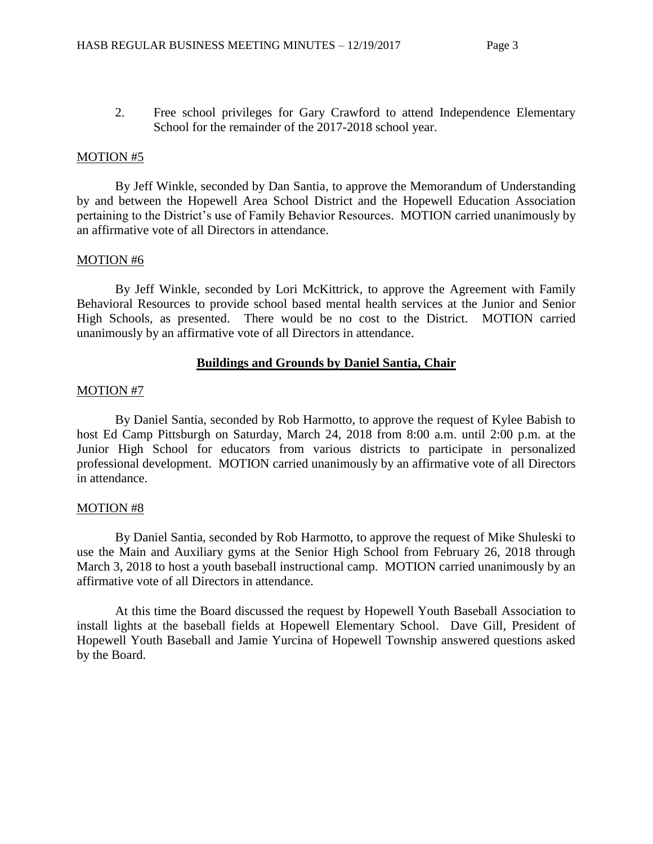2. Free school privileges for Gary Crawford to attend Independence Elementary School for the remainder of the 2017-2018 school year.

### MOTION #5

By Jeff Winkle, seconded by Dan Santia, to approve the Memorandum of Understanding by and between the Hopewell Area School District and the Hopewell Education Association pertaining to the District's use of Family Behavior Resources. MOTION carried unanimously by an affirmative vote of all Directors in attendance.

### MOTION #6

By Jeff Winkle, seconded by Lori McKittrick, to approve the Agreement with Family Behavioral Resources to provide school based mental health services at the Junior and Senior High Schools, as presented. There would be no cost to the District. MOTION carried unanimously by an affirmative vote of all Directors in attendance.

# **Buildings and Grounds by Daniel Santia, Chair**

### MOTION #7

By Daniel Santia, seconded by Rob Harmotto, to approve the request of Kylee Babish to host Ed Camp Pittsburgh on Saturday, March 24, 2018 from 8:00 a.m. until 2:00 p.m. at the Junior High School for educators from various districts to participate in personalized professional development. MOTION carried unanimously by an affirmative vote of all Directors in attendance.

### MOTION #8

By Daniel Santia, seconded by Rob Harmotto, to approve the request of Mike Shuleski to use the Main and Auxiliary gyms at the Senior High School from February 26, 2018 through March 3, 2018 to host a youth baseball instructional camp. MOTION carried unanimously by an affirmative vote of all Directors in attendance.

At this time the Board discussed the request by Hopewell Youth Baseball Association to install lights at the baseball fields at Hopewell Elementary School. Dave Gill, President of Hopewell Youth Baseball and Jamie Yurcina of Hopewell Township answered questions asked by the Board.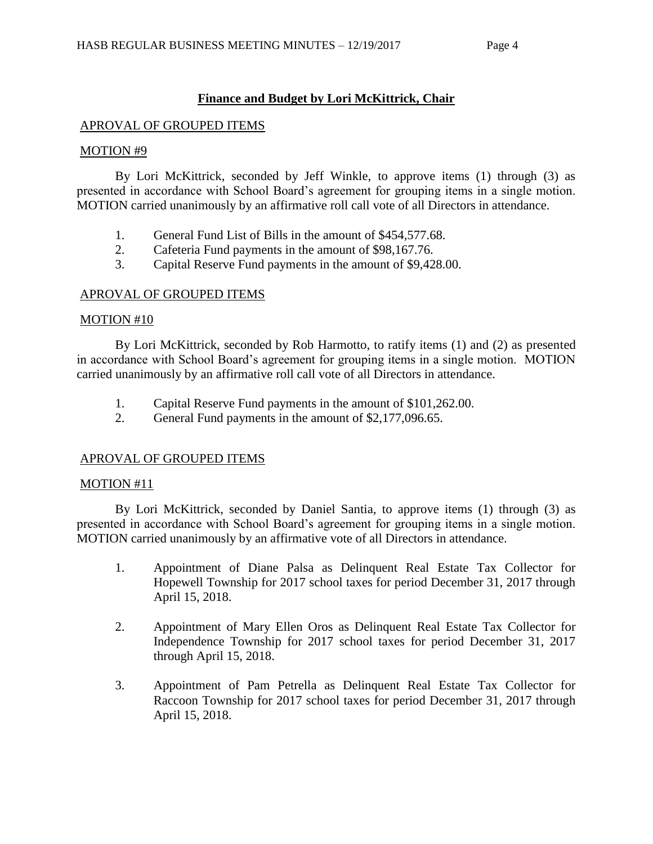# **Finance and Budget by Lori McKittrick, Chair**

### APROVAL OF GROUPED ITEMS

### MOTION #9

By Lori McKittrick, seconded by Jeff Winkle, to approve items (1) through (3) as presented in accordance with School Board's agreement for grouping items in a single motion. MOTION carried unanimously by an affirmative roll call vote of all Directors in attendance.

- 1. General Fund List of Bills in the amount of \$454,577.68.
- 2. Cafeteria Fund payments in the amount of \$98,167.76.
- 3. Capital Reserve Fund payments in the amount of \$9,428.00.

### APROVAL OF GROUPED ITEMS

### MOTION #10

By Lori McKittrick, seconded by Rob Harmotto, to ratify items (1) and (2) as presented in accordance with School Board's agreement for grouping items in a single motion. MOTION carried unanimously by an affirmative roll call vote of all Directors in attendance.

- 1. Capital Reserve Fund payments in the amount of \$101,262.00.
- 2. General Fund payments in the amount of \$2,177,096.65.

# APROVAL OF GROUPED ITEMS

### MOTION #11

By Lori McKittrick, seconded by Daniel Santia, to approve items (1) through (3) as presented in accordance with School Board's agreement for grouping items in a single motion. MOTION carried unanimously by an affirmative vote of all Directors in attendance.

- 1. Appointment of Diane Palsa as Delinquent Real Estate Tax Collector for Hopewell Township for 2017 school taxes for period December 31, 2017 through April 15, 2018.
- 2. Appointment of Mary Ellen Oros as Delinquent Real Estate Tax Collector for Independence Township for 2017 school taxes for period December 31, 2017 through April 15, 2018.
- 3. Appointment of Pam Petrella as Delinquent Real Estate Tax Collector for Raccoon Township for 2017 school taxes for period December 31, 2017 through April 15, 2018.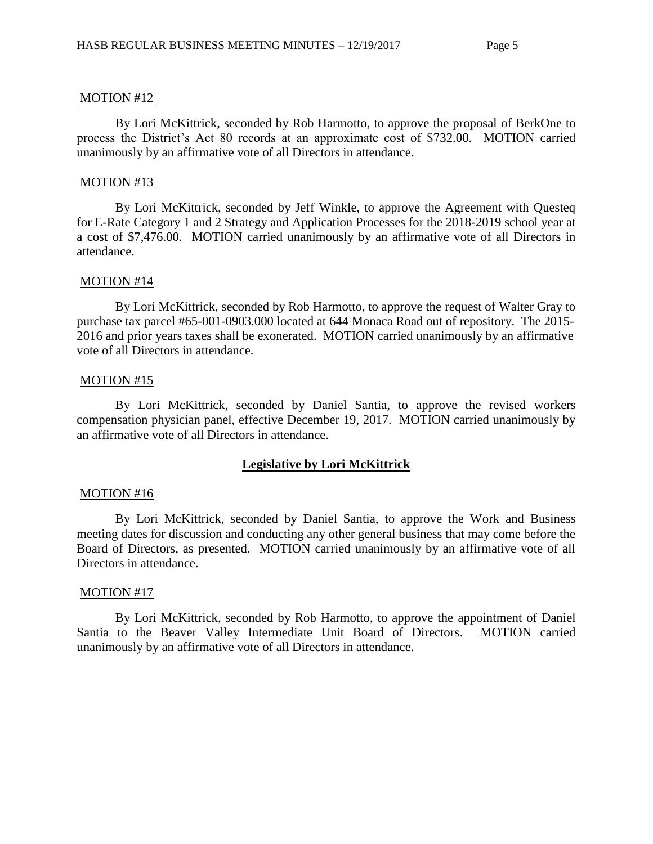#### MOTION #12

By Lori McKittrick, seconded by Rob Harmotto, to approve the proposal of BerkOne to process the District's Act 80 records at an approximate cost of \$732.00. MOTION carried unanimously by an affirmative vote of all Directors in attendance.

#### MOTION #13

By Lori McKittrick, seconded by Jeff Winkle, to approve the Agreement with Questeq for E-Rate Category 1 and 2 Strategy and Application Processes for the 2018-2019 school year at a cost of \$7,476.00. MOTION carried unanimously by an affirmative vote of all Directors in attendance.

#### MOTION #14

By Lori McKittrick, seconded by Rob Harmotto, to approve the request of Walter Gray to purchase tax parcel #65-001-0903.000 located at 644 Monaca Road out of repository. The 2015- 2016 and prior years taxes shall be exonerated. MOTION carried unanimously by an affirmative vote of all Directors in attendance.

#### MOTION #15

By Lori McKittrick, seconded by Daniel Santia, to approve the revised workers compensation physician panel, effective December 19, 2017. MOTION carried unanimously by an affirmative vote of all Directors in attendance.

### **Legislative by Lori McKittrick**

#### MOTION #16

By Lori McKittrick, seconded by Daniel Santia, to approve the Work and Business meeting dates for discussion and conducting any other general business that may come before the Board of Directors, as presented. MOTION carried unanimously by an affirmative vote of all Directors in attendance.

#### MOTION #17

By Lori McKittrick, seconded by Rob Harmotto, to approve the appointment of Daniel Santia to the Beaver Valley Intermediate Unit Board of Directors. MOTION carried unanimously by an affirmative vote of all Directors in attendance.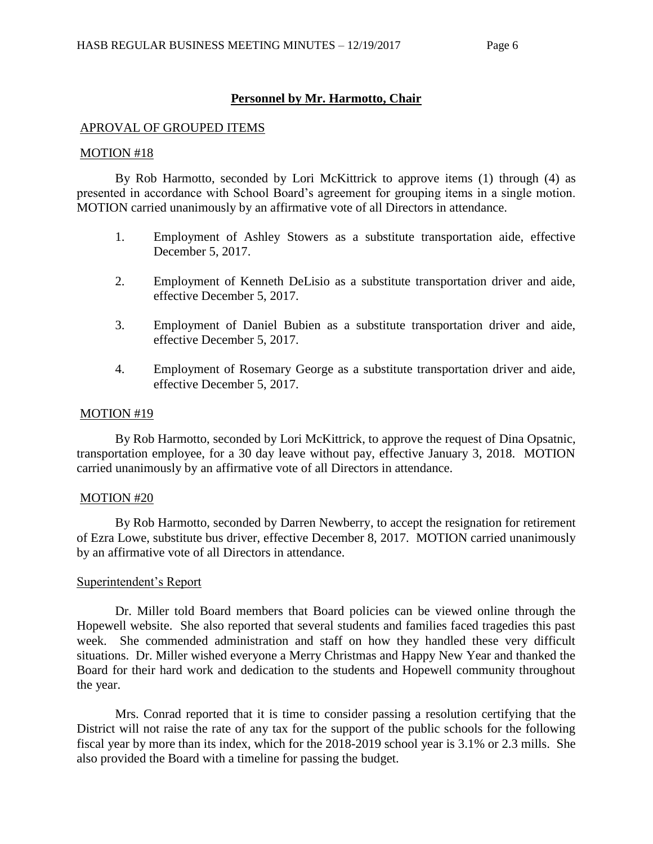# **Personnel by Mr. Harmotto, Chair**

### APROVAL OF GROUPED ITEMS

### MOTION #18

By Rob Harmotto, seconded by Lori McKittrick to approve items (1) through (4) as presented in accordance with School Board's agreement for grouping items in a single motion. MOTION carried unanimously by an affirmative vote of all Directors in attendance.

- 1. Employment of Ashley Stowers as a substitute transportation aide, effective December 5, 2017.
- 2. Employment of Kenneth DeLisio as a substitute transportation driver and aide, effective December 5, 2017.
- 3. Employment of Daniel Bubien as a substitute transportation driver and aide, effective December 5, 2017.
- 4. Employment of Rosemary George as a substitute transportation driver and aide, effective December 5, 2017.

### MOTION #19

By Rob Harmotto, seconded by Lori McKittrick, to approve the request of Dina Opsatnic, transportation employee, for a 30 day leave without pay, effective January 3, 2018. MOTION carried unanimously by an affirmative vote of all Directors in attendance.

### MOTION #20

By Rob Harmotto, seconded by Darren Newberry, to accept the resignation for retirement of Ezra Lowe, substitute bus driver, effective December 8, 2017. MOTION carried unanimously by an affirmative vote of all Directors in attendance.

### Superintendent's Report

Dr. Miller told Board members that Board policies can be viewed online through the Hopewell website. She also reported that several students and families faced tragedies this past week. She commended administration and staff on how they handled these very difficult situations. Dr. Miller wished everyone a Merry Christmas and Happy New Year and thanked the Board for their hard work and dedication to the students and Hopewell community throughout the year.

Mrs. Conrad reported that it is time to consider passing a resolution certifying that the District will not raise the rate of any tax for the support of the public schools for the following fiscal year by more than its index, which for the 2018-2019 school year is 3.1% or 2.3 mills. She also provided the Board with a timeline for passing the budget.